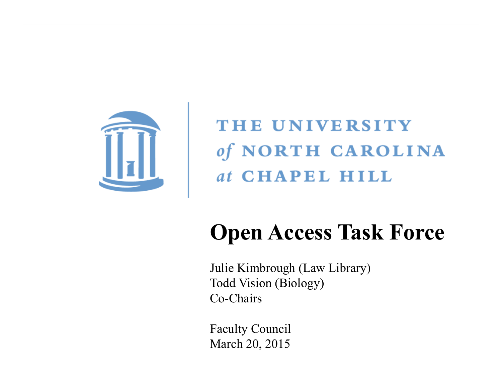

THE UNIVERSITY of NORTH CAROLINA at CHAPEL HILL

# **Open Access Task Force**

Todd Vision (Biology)<br>Co-Chairs Carolina First Steering Committee Julie Kimbrough (Law Library) Co-Chairs

Faculty Council March 20, 2015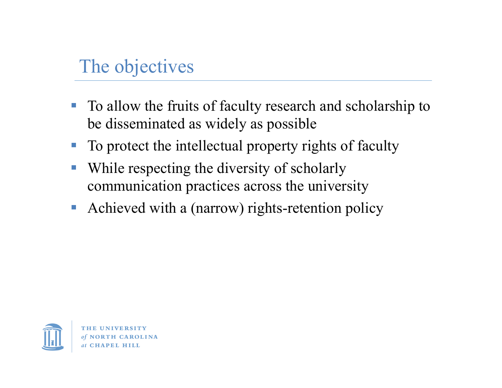### The objectives

- To allow the fruits of faculty research and scholarship to be disseminated as widely as possible
- To protect the intellectual property rights of faculty
- While respecting the diversity of scholarly communication practices across the university
- Achieved with a (narrow) rights-retention policy



at CHAPEL HILL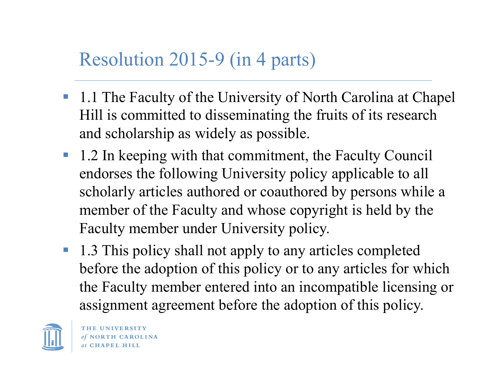### Resolution 2015-9 (in 4 parts)

- 1.1 The Faculty of the University of North Carolina at Chapel Hill is committed to disseminating the fruits of its research and scholarship as widely as possible.
- 1.2 In keeping with that commitment, the Faculty Council endorses the following University policy applicable to all scholarly articles authored or coauthored by persons while a member of the Faculty and whose copyright is held by the Faculty member under University policy.
- 1.3 This policy shall not apply to any articles completed before the adoption of this policy or to any articles for which the Faculty member entered into an incompatible licensing or assignment agreement before the adoption of this policy.

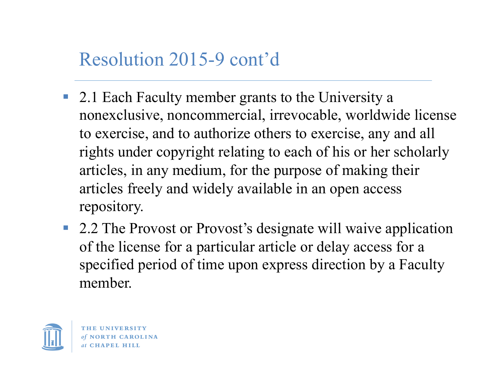### Resolution 2015-9 cont'd

- 2.1 Each Faculty member grants to the University a nonexclusive, noncommercial, irrevocable, worldwide license to exercise, and to authorize others to exercise, any and all rights under copyright relating to each of his or her scholarly articles, in any medium, for the purpose of making their articles freely and widely available in an open access repository.
- 2.2 The Provost or Provost's designate will waive application of the license for a particular article or delay access for a specified period of time upon express direction by a Faculty member.



THE HNIVERSITY at CHAPEL HILL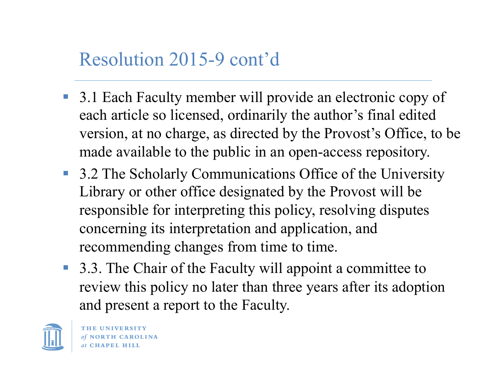### Resolution 2015-9 cont'd

- 3.1 Each Faculty member will provide an electronic copy of each article so licensed, ordinarily the author's final edited version, at no charge, as directed by the Provost's Office, to be made available to the public in an open-access repository.
- 3.2 The Scholarly Communications Office of the University Library or other office designated by the Provost will be responsible for interpreting this policy, resolving disputes concerning its interpretation and application, and recommending changes from time to time.
- 3.3. The Chair of the Faculty will appoint a committee to review this policy no later than three years after its adoption and present a report to the Faculty.

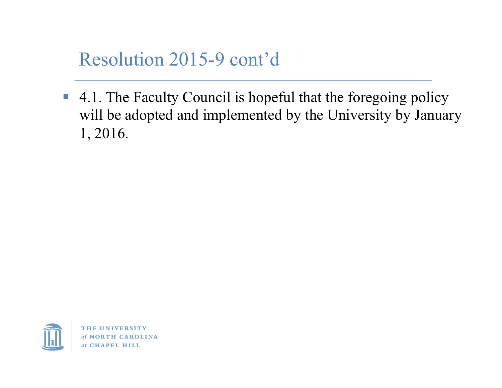### Resolution 2015-9 cont'd

■ 4.1. The Faculty Council is hopeful that the foregoing policy will be adopted and implemented by the University by January 1, 2016.

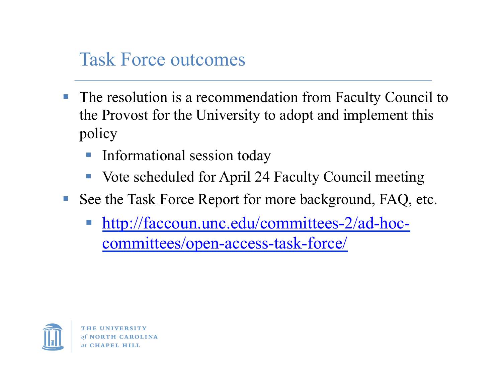### Task Force outcomes

- The resolution is a recommendation from Faculty Council to the Provost for the University to adopt and implement this policy
	- § Informational session today
	- Vote scheduled for April 24 Faculty Council meeting
- See the Task Force Report for more background, FAQ, etc.
	- § http://faccoun.unc.edu/committees-2/ad-hoccommittees/open-access-task-force/



at CHAPEL HILL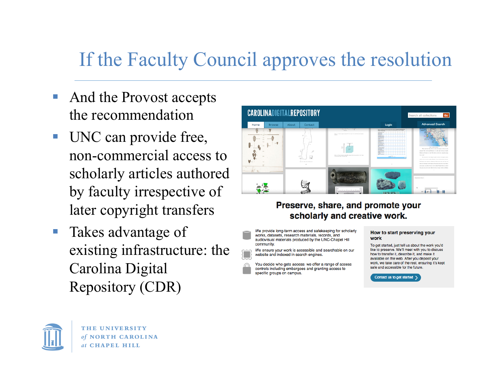## If the Faculty Council approves the resolution

- And the Provost accepts the recommendation
- UNC can provide free, non-commercial access to scholarly articles authored by faculty irrespective of later copyright transfers
- Takes advantage of existing infrastructure: the Carolina Digital Repository (CDR)



### Preserve, share, and promote your scholarly and creative work.

We provide long-term access and safekeeping for scholarly works, datasets, research materials, records, and audiovisual materials produced by the UNC-Chapel Hill community

We ensure your work is accessible and searchable on our website and indexed in search engines.

You decide who gets access: we offer a range of access controls including embargoes and granting access to specific groups on campus.

#### How to start preserving your work

To get started, just tell us about the work you'd like to preserve. We'll meet with you to discuss how to transfer it, describe it, and make it available on the web. After you deposit your work, we take care of the rest, ensuring it's kept safe and accessible for the future.

Contact us to get started >

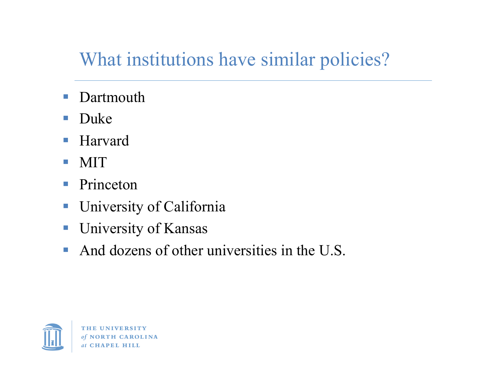## What institutions have similar policies?

- Dartmouth
- § Duke
- Harvard
- § MIT
- Princeton
- **University of California**
- University of Kansas
- And dozens of other universities in the U.S.

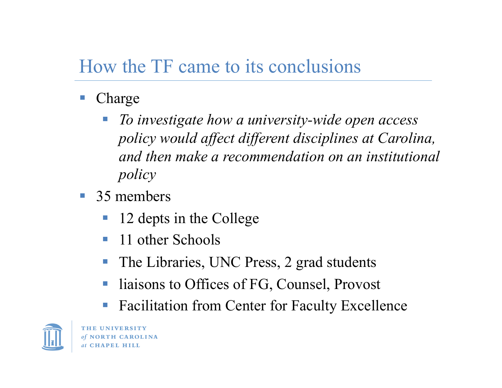### How the TF came to its conclusions

- § Charge
	- § *To investigate how a university-wide open access policy would affect different disciplines at Carolina, and then make a recommendation on an institutional policy*
- 35 members
	- § 12 depts in the College
	- 11 other Schools
	- The Libraries, UNC Press, 2 grad students
	- liaisons to Offices of FG, Counsel, Provost
	- Facilitation from Center for Faculty Excellence



**IINIVERSITY** of NORTH CAROLINA **CHAPEL HILL**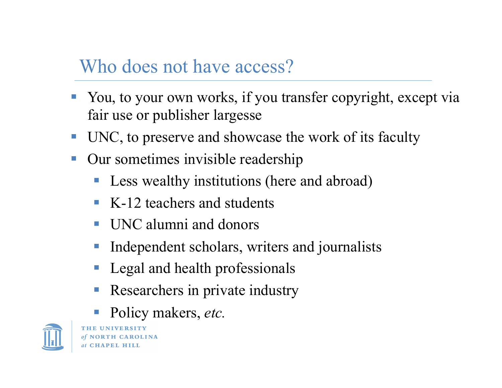### Who does not have access?

- You, to your own works, if you transfer copyright, except via fair use or publisher largesse
- UNC, to preserve and showcase the work of its faculty
- Our sometimes invisible readership
	- Less wealthy institutions (here and abroad)
	- K-12 teachers and students
	- § UNC alumni and donors
	- Independent scholars, writers and journalists
	- § Legal and health professionals
	- Researchers in private industry
	- § Policy makers, *etc.*



of NORTH CAROLINA at CHAPEL HILL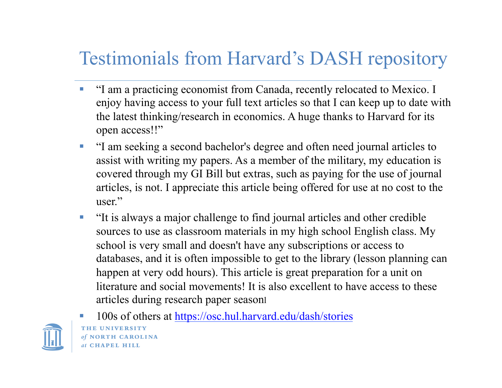### Testimonials from Harvard's DASH repository

- § "I am a practicing economist from Canada, recently relocated to Mexico. I enjoy having access to your full text articles so that I can keep up to date with the latest thinking/research in economics. A huge thanks to Harvard for its open access!!"
- § "I am seeking a second bachelor's degree and often need journal articles to assist with writing my papers. As a member of the military, my education is covered through my GI Bill but extras, such as paying for the use of journal articles, is not. I appreciate this article being offered for use at no cost to the user."
- "It is always a major challenge to find journal articles and other credible sources to use as classroom materials in my high school English class. My school is very small and doesn't have any subscriptions or access to databases, and it is often impossible to get to the library (lesson planning can happen at very odd hours). This article is great preparation for a unit on literature and social movements! It is also excellent to have access to these articles during research paper seasonl



§ 100s of others at https://osc.hul.harvard.edu/dash/storiesTHE UNIVERSITY of NORTH CAROLINA at CHAPEL HILL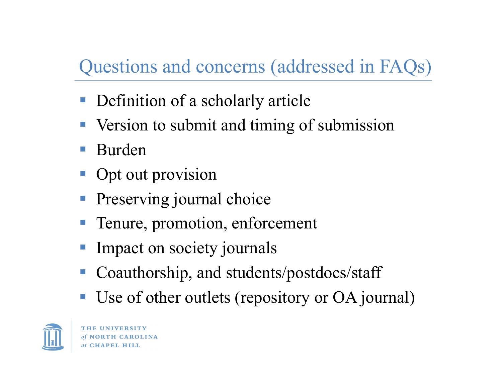## Questions and concerns (addressed in FAQs)

- § Definition of a scholarly article
- Version to submit and timing of submission
- § Burden
- § Opt out provision
- § Preserving journal choice
- Tenure, promotion, enforcement
- § Impact on society journals
- § Coauthorship, and students/postdocs/staff
- Use of other outlets (repository or OA journal)



THE UNIVERSITY at CHAPEL HILL